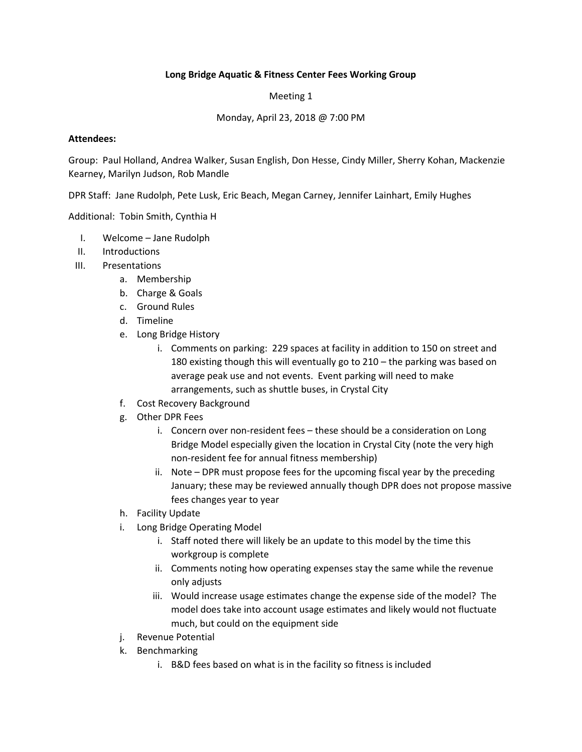## **Long Bridge Aquatic & Fitness Center Fees Working Group**

Meeting 1

Monday, April 23, 2018 @ 7:00 PM

## **Attendees:**

Group: Paul Holland, Andrea Walker, Susan English, Don Hesse, Cindy Miller, Sherry Kohan, Mackenzie Kearney, Marilyn Judson, Rob Mandle

DPR Staff: Jane Rudolph, Pete Lusk, Eric Beach, Megan Carney, Jennifer Lainhart, Emily Hughes

Additional: Tobin Smith, Cynthia H

- I. Welcome Jane Rudolph
- II. Introductions
- III. Presentations
	- a. Membership
	- b. Charge & Goals
	- c. Ground Rules
	- d. Timeline
	- e. Long Bridge History
		- i. Comments on parking: 229 spaces at facility in addition to 150 on street and 180 existing though this will eventually go to 210 – the parking was based on average peak use and not events. Event parking will need to make arrangements, such as shuttle buses, in Crystal City
	- f. Cost Recovery Background
	- g. Other DPR Fees
		- i. Concern over non-resident fees these should be a consideration on Long Bridge Model especially given the location in Crystal City (note the very high non-resident fee for annual fitness membership)
		- ii. Note DPR must propose fees for the upcoming fiscal year by the preceding January; these may be reviewed annually though DPR does not propose massive fees changes year to year
	- h. Facility Update
	- i. Long Bridge Operating Model
		- i. Staff noted there will likely be an update to this model by the time this workgroup is complete
		- ii. Comments noting how operating expenses stay the same while the revenue only adjusts
		- iii. Would increase usage estimates change the expense side of the model? The model does take into account usage estimates and likely would not fluctuate much, but could on the equipment side
	- j. Revenue Potential
	- k. Benchmarking
		- i. B&D fees based on what is in the facility so fitness is included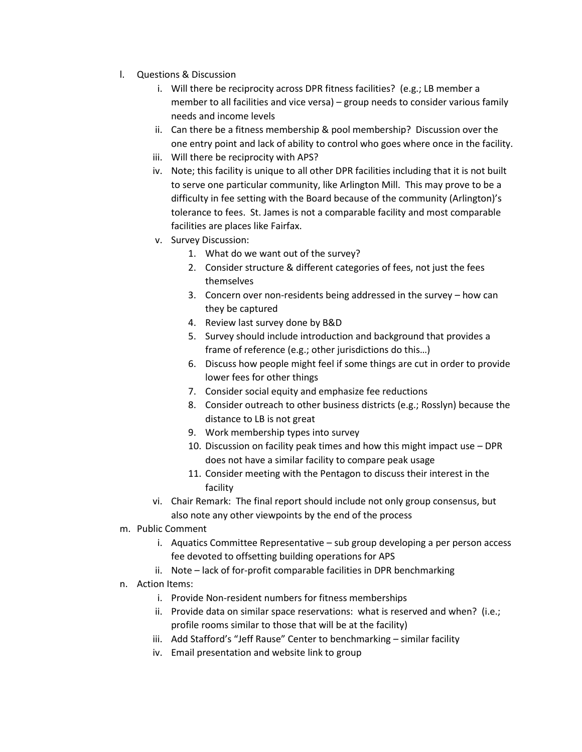- l. Questions & Discussion
	- i. Will there be reciprocity across DPR fitness facilities? (e.g.; LB member a member to all facilities and vice versa) – group needs to consider various family needs and income levels
	- ii. Can there be a fitness membership & pool membership? Discussion over the one entry point and lack of ability to control who goes where once in the facility.
	- iii. Will there be reciprocity with APS?
	- iv. Note; this facility is unique to all other DPR facilities including that it is not built to serve one particular community, like Arlington Mill. This may prove to be a difficulty in fee setting with the Board because of the community (Arlington)'s tolerance to fees. St. James is not a comparable facility and most comparable facilities are places like Fairfax.
	- v. Survey Discussion:
		- 1. What do we want out of the survey?
		- 2. Consider structure & different categories of fees, not just the fees themselves
		- 3. Concern over non-residents being addressed in the survey how can they be captured
		- 4. Review last survey done by B&D
		- 5. Survey should include introduction and background that provides a frame of reference (e.g.; other jurisdictions do this…)
		- 6. Discuss how people might feel if some things are cut in order to provide lower fees for other things
		- 7. Consider social equity and emphasize fee reductions
		- 8. Consider outreach to other business districts (e.g.; Rosslyn) because the distance to LB is not great
		- 9. Work membership types into survey
		- 10. Discussion on facility peak times and how this might impact use DPR does not have a similar facility to compare peak usage
		- 11. Consider meeting with the Pentagon to discuss their interest in the facility
	- vi. Chair Remark: The final report should include not only group consensus, but also note any other viewpoints by the end of the process
- m. Public Comment
	- i. Aquatics Committee Representative sub group developing a per person access fee devoted to offsetting building operations for APS
	- ii. Note lack of for-profit comparable facilities in DPR benchmarking
- n. Action Items:
	- i. Provide Non-resident numbers for fitness memberships
	- ii. Provide data on similar space reservations: what is reserved and when? (i.e.; profile rooms similar to those that will be at the facility)
	- iii. Add Stafford's "Jeff Rause" Center to benchmarking similar facility
	- iv. Email presentation and website link to group